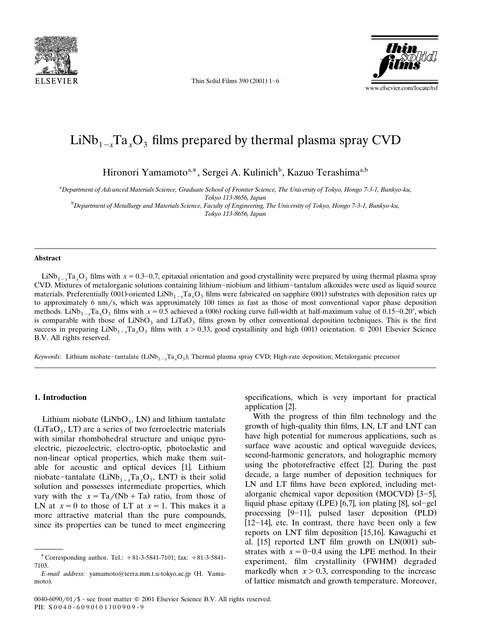

Thin Solid Films 390  $(2001)$  1-6



# $LiNb_{1-x}Ta_xO_3$  films prepared by thermal plasma spray CVD

Hironori Yamamoto<sup>a,\*</sup>, Sergei A. Kulinich<sup>b</sup>, Kazuo Terashima<sup>a,b</sup>

<sup>a</sup> Department of Advanced Materials Science, Graduate School of Frontier Science, The University of Tokyo, Hongo 7-3-1, Bunkyo-ku,

*Tokyo 113-8656, Japan* <sup>b</sup> *Department of Metallurgy and Materials Science, Faculty of Engineering, The Uni*-*ersity of Tokyo, Hongo 7-3-1, Bunkyo-ku, Tokyo 113-8656, Japan*

#### **Abstract**

LiNb<sub>1</sub>, Ta, O<sub>3</sub> films with  $x = 0.3-0.7$ , epitaxial orientation and good crystallinity were prepared by using thermal plasma spray CVD. Mixtures of metalorganic solutions containing lithium-niobium and lithium-tantalum alkoxides were used as liquid source materials. Preferentially (001)-oriented LiNb<sub>1</sub>, Ta, O<sub>3</sub> films were fabricated on sapphire (001) substrates with deposition rates up to approximately 6 nm/s, which was approximately 100 times as fast as those of most conventional vapor phase deposition methods. LiNb<sub>1-x</sub>Ta<sub>x</sub>O<sub>3</sub> films with  $x = 0.5$  achieved a (006) rocking curve full-width at half-maximum value of 0.15–0.20°, which is comparable with those of LiNbO<sub>3</sub> and LiTaO<sub>3</sub> films grown by other conventional deposition techniques. This is the first success in preparing  $\text{LiNb}_{1-x}\text{Ta}_x\text{O}_3$  films with  $x > 0.33$ , good crystallinity and high (001) orientation. © 2001 Elsevier Science B.V. All rights reserved.

*Keywords:* Lithium niobate-tantalate (LiNb<sub>1-x</sub>Ta<sub>x</sub>O<sub>3</sub>); Thermal plasma spray CVD; High-rate deposition; Metalorganic precursor

### **1. Introduction**

Lithium niobate  $(LiNbO<sub>3</sub>, LN)$  and lithium tantalate  $(LiTaO<sub>3</sub>, LT)$  are a series of two ferroelectric materials with similar rhombohedral structure and unique pyroelectric, piezoelectric, electro-optic, photoelastic and non-linear optical properties, which make them suitable for acoustic and optical devices [1]. Lithium niobate-tantalate  $(LiNb_{1-x}Ta_xO_3, LNT)$  is their solid solution and possesses intermediate properties, which vary with the  $x = Ta/(Nb + Ta)$  ratio, from those of LN at  $x = 0$  to those of LT at  $x = 1$ . This makes it a more attractive material than the pure compounds, since its properties can be tuned to meet engineering specifications, which is very important for practical application [2].

With the progress of thin film technology and the growth of high-quality thin films, LN, LT and LNT can have high potential for numerous applications, such as surface wave acoustic and optical waveguide devices, second-harmonic generators, and holographic memory using the photorefractive effect [2]. During the past decade, a large number of deposition techniques for LN and LT films have been explored, including metalorganic chemical vapor deposition (MOCVD)  $[3-5]$ , liquid phase epitaxy  $(LPE)$  [6,7], ion plating [8], sol-gel processing  $[9-11]$ , pulsed laser deposition  $(PLD)$  $[12-14]$ , etc. In contrast, there have been only a few reports on LNT film deposition [15,16]. Kawaguchi et al.  $[15]$  reported LNT film growth on LN $(001)$  substrates with  $x = 0-0.4$  using the LPE method. In their experiment, film crystallinity (FWHM) degraded markedly when  $x > 0.3$ , corresponding to the increase of lattice mismatch and growth temperature. Moreover,

<sup>\*</sup> Corresponding author. Tel.:  $+81-3-5841-7101$ ; fax:  $+81-3-5841-$ 7103.

*E-mail address:* yamamoto@terra.mm.t.u-tokyo.ac.jp (H. Yamamoto).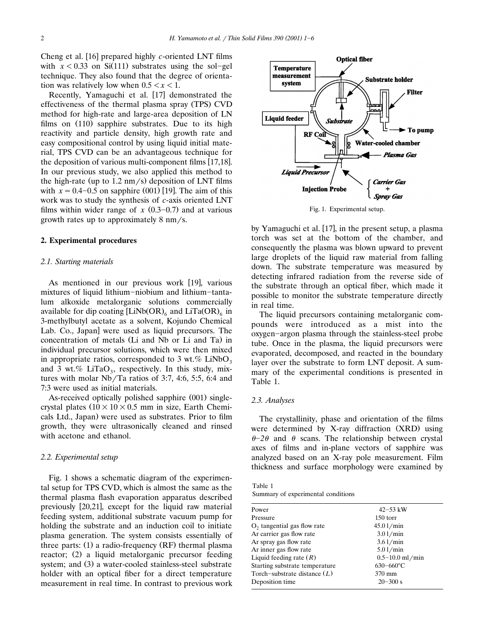Cheng et al. [16] prepared highly *c*-oriented LNT films with  $x < 0.33$  on Si(111) substrates using the sol-gel technique. They also found that the degree of orientation was relatively low when  $0.5 < x < 1$ .

Recently, Yamaguchi et al. [17] demonstrated the effectiveness of the thermal plasma spray (TPS) CVD method for high-rate and large-area deposition of LN films on  $(110)$  sapphire substrates. Due to its high reactivity and particle density, high growth rate and easy compositional control by using liquid initial material, TPS CVD can be an advantageous technique for the deposition of various multi-component films [17,18]. In our previous study, we also applied this method to the high-rate (up to  $1.2 \text{ nm/s}$ ) deposition of LNT films with  $x = 0.4 - 0.5$  on sapphire (001) [19]. The aim of this work was to study the synthesis of *c*-axis oriented LNT films within wider range of  $x(0.3-0.7)$  and at various growth rates up to approximately  $8 \text{ nm/s}$ .

#### **2. Experimental procedures**

#### *2.1. Starting materials*

As mentioned in our previous work [19], various mixtures of liquid lithium-niobium and lithium-tantalum alkoxide metalorganic solutions commercially available for dip coating  $[LiNb(OR)_6]$  and  $LiTa(OR)_6$  in 3-methylbutyl acetate as a solvent, Kojundo Chemical Lab. Co., Japan were used as liquid precursors. The concentration of metals (Li and Nb or Li and Ta) in individual precursor solutions, which were then mixed in appropriate ratios, corresponded to 3 wt.% LiNbO<sub>3</sub> and 3 wt.% LiTaO<sub>3</sub>, respectively. In this study, mixtures with molar Nb/Ta ratios of 3:7, 4:6, 5:5, 6:4 and 7:3 were used as initial materials.

As-received optically polished sapphire (001) singlecrystal plates  $(10 \times 10 \times 0.5 \text{ mm} \text{ in size, Earth Chemi-}$ cals Ltd., Japan) were used as substrates. Prior to film growth, they were ultrasonically cleaned and rinsed with acetone and ethanol.

#### *2.2. Experimental setup*

Fig. 1 shows a schematic diagram of the experimental setup for TPS CVD, which is almost the same as the thermal plasma flash evaporation apparatus described previously [20,21], except for the liquid raw material feeding system, additional substrate vacuum pump for holding the substrate and an induction coil to initiate plasma generation. The system consists essentially of three parts:  $(1)$  a radio-frequency  $(RF)$  thermal plasma reactor; (2) a liquid metalorganic precursor feeding system; and (3) a water-cooled stainless-steel substrate holder with an optical fiber for a direct temperature measurement in real time. In contrast to previous work



Fig. 1. Experimental setup.

by Yamaguchi et al. [17], in the present setup, a plasma torch was set at the bottom of the chamber, and consequently the plasma was blown upward to prevent large droplets of the liquid raw material from falling down. The substrate temperature was measured by detecting infrared radiation from the reverse side of the substrate through an optical fiber, which made it possible to monitor the substrate temperature directly in real time.

The liquid precursors containing metalorganic compounds were introduced as a mist into the oxygen-argon plasma through the stainless-steel probe tube. Once in the plasma, the liquid precursors were evaporated, decomposed, and reacted in the boundary layer over the substrate to form LNT deposit. A summary of the experimental conditions is presented in Table 1.

## *2.3. Analyses*

The crystallinity, phase and orientation of the films were determined by X-ray diffraction (XRD) using  $\theta$ -2 $\theta$  and  $\theta$  scans. The relationship between crystal axes of films and in-plane vectors of sapphire was analyzed based on an X-ray pole measurement. Film thickness and surface morphology were examined by

Table 1 Summary of experimental conditions

| $42 - 53$ kW        |
|---------------------|
| $150$ torr          |
| 45.01/min           |
| 3.01/min            |
| 3.61/min            |
| 5.01/min            |
| $0.5 - 10.0$ ml/min |
| $630 - 660$ °C      |
| 370 mm              |
| $20 - 300$ s        |
|                     |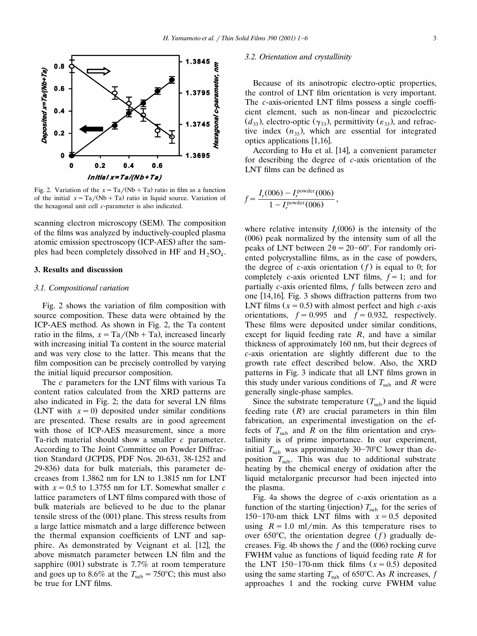

Fig. 2. Variation of the  $x = Ta/(Nb + Ta)$  ratio in film as a function of the initial  $x = \frac{Ta}{Nb + Ta}$  ratio in liquid source. Variation of the hexagonal unit cell *c*-parameter is also indicated.

scanning electron microscopy (SEM). The composition of the films was analyzed by inductively-coupled plasma atomic emission spectroscopy (ICP-AES) after the samples had been completely dissolved in HF and  $H_2SO_4$ .

## **3. Results and discussion**

# *3.1. Compositional* -*ariation*

Fig. 2 shows the variation of film composition with source composition. These data were obtained by the ICP-AES method. As shown in Fig. 2, the Ta content ratio in the films,  $x = Ta/(Nb + Ta)$ , increased linearly with increasing initial Ta content in the source material and was very close to the latter. This means that the film composition can be precisely controlled by varying the initial liquid precursor composition.

The *c* parameters for the LNT films with various Ta content ratios calculated from the XRD patterns are also indicated in Fig. 2; the data for several LN films (LNT with  $x=0$ ) deposited under similar conditions are presented. These results are in good agreement with those of ICP-AES measurement, since a more Ta-rich material should show a smaller *c* parameter. According to The Joint Committee on Powder Diffraction Standard (JCPDS, PDF Nos. 20-631, 38-1252 and 29-836) data for bulk materials, this parameter decreases from 1.3862 nm for LN to 1.3815 nm for LNT with  $x = 0.5$  to 1.3755 nm for LT. Somewhat smaller *c* lattice parameters of LNT films compared with those of bulk materials are believed to be due to the planar tensile stress of the  $(001)$  plane. This stress results from a large lattice mismatch and a large difference between the thermal expansion coefficients of LNT and sapphire. As demonstrated by Veignant et al. [12], the above mismatch parameter between LN film and the sapphire  $(001)$  substrate is 7.7% at room temperature and goes up to  $8.6\%$  at the  $T_{\text{sub}} = 750^{\circ}\text{C}$ ; this must also be true for LNT films.

#### *3.2. Orientation and crystallinity*

Because of its anisotropic electro-optic properties, the control of LNT film orientation is very important. The *c*-axis-oriented LNT films possess a single coefficient element, such as non-linear and piezoelectric  $(d_{33})$ , electro-optic  $(\gamma_{33})$ , permittivity  $(\varepsilon_{33})$ , and refractive index  $(n_{33})$ , which are essential for integrated optics applications [1,16].

According to Hu et al. [14], a convenient parameter for describing the degree of *c*-axis orientation of the LNT films can be defined as

$$
f = \frac{I_r(006) - I_r^{\text{power}}(006)}{1 - I_r^{\text{power}}(006)},
$$

where relative intensity  $I_r(006)$  is the intensity of the  $(006)$  peak normalized by the intensity sum of all the peaks of LNT between  $2\theta = 20-60^{\circ}$ . For randomly oriented polycrystalline films, as in the case of powders, the degree of *c*-axis orientation  $(f)$  is equal to 0; for completely *c*-axis oriented LNT films,  $f = 1$ ; and for partially *c*-axis oriented films, *f* falls between zero and one  $[14,16]$ . Fig. 3 shows diffraction patterns from two LNT films  $(x = 0.5)$  with almost perfect and high *c*-axis orientations,  $f = 0.995$  and  $f = 0.932$ , respectively. These films were deposited under similar conditions, except for liquid feeding rate *R*, and have a similar thickness of approximately 160 nm, but their degrees of *c*-axis orientation are slightly different due to the growth rate effect described below. Also, the XRD patterns in Fig. 3 indicate that all LNT films grown in this study under various conditions of  $T_{\text{sub}}$  and *R* were generally single-phase samples.

Since the substrate temperature  $(T_{sub})$  and the liquid feeding rate  $(R)$  are crucial parameters in thin film fabrication, an experimental investigation on the effects of  $T_{\text{sub}}$  and *R* on the film orientation and crystallinity is of prime importance. In our experiment, initial  $T_{\text{sub}}$  was approximately 30–70°C lower than deposition  $T_{\text{sub}}$ . This was due to additional substrate heating by the chemical energy of oxidation after the liquid metalorganic precursor had been injected into the plasma.

Fig. 4a shows the degree of *c*-axis orientation as a function of the starting (injection)  $T_{\text{sub}}$  for the series of 150–170-nm thick LNT films with  $x=0.5$  deposited using  $R = 1.0$  ml/min. As this temperature rises to over 650°C, the orientation degree  $(f)$  gradually decreases. Fig. 4b shows the  $f$  and the  $(006)$  rocking curve FWHM value as functions of liquid feeding rate *R* for the LNT 150-170-nm thick films  $(x = 0.5)$  deposited using the same starting  $T_{\text{sub}}$  of 650°C. As *R* increases, *f* approaches 1 and the rocking curve FWHM value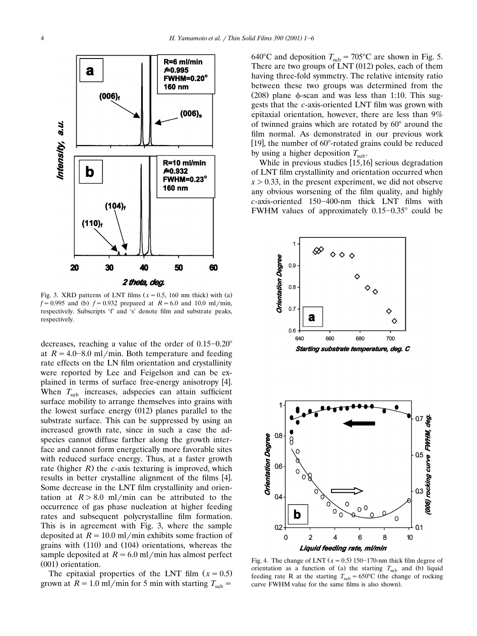

Fig. 3. XRD patterns of LNT films  $(x = 0.5, 160$  nm thick) with (a)  $f = 0.995$  and (b)  $f = 0.932$  prepared at  $R = 6.0$  and 10.0 ml/min, respectively. Subscripts 'f' and 's' denote film and substrate peaks, respectively.

decreases, reaching a value of the order of  $0.15-0.20^{\circ}$ at  $R = 4.0 - 8.0$  ml/min. Both temperature and feeding rate effects on the LN film orientation and crystallinity were reported by Lee and Feigelson and can be explained in terms of surface free-energy anisotropy [4]. When  $T_{sub}$  increases, adspecies can attain sufficient surface mobility to arrange themselves into grains with the lowest surface energy  $(012)$  planes parallel to the substrate surface. This can be suppressed by using an increased growth rate, since in such a case the adspecies cannot diffuse farther along the growth interface and cannot form energetically more favorable sites with reduced surface energy. Thus, at a faster growth rate (higher  $R$ ) the  $c$ -axis texturing is improved, which results in better crystalline alignment of the films [4]. Some decrease in the LNT film crystallinity and orientation at  $R > 8.0$  ml/min can be attributed to the occurrence of gas phase nucleation at higher feeding rates and subsequent polycrystalline film formation. This is in agreement with Fig. 3, where the sample deposited at  $R = 10.0$  ml/min exhibits some fraction of grains with  $(110)$  and  $(104)$  orientations, whereas the sample deposited at  $R = 6.0$  ml/min has almost perfect  $(001)$  orientation.

The epitaxial properties of the LNT film  $(x = 0.5)$ grown at  $R = 1.0$  ml/min for 5 min with starting  $T_{sub}$ 

640°C and deposition  $T_{\text{sub}} = 705$ °C are shown in Fig. 5. There are two groups of  $LNT(012)$  poles, each of them having three-fold symmetry. The relative intensity ratio between these two groups was determined from the (208) plane  $\phi$ -scan and was less than 1:10. This suggests that the *c*-axis-oriented LNT film was grown with epitaxial orientation, however, there are less than 9% of twinned grains which are rotated by  $60^\circ$  around the film normal. As demonstrated in our previous work [19], the number of 60°-rotated grains could be reduced by using a higher deposition  $T_{\text{sub}}$ .

While in previous studies  $[15,16]$  serious degradation of LNT film crystallinity and orientation occurred when  $x > 0.33$ , in the present experiment, we did not observe any obvious worsening of the film quality, and highly *c*-axis-oriented 150-400-nm thick LNT films with FWHM values of approximately  $0.15-0.35^{\circ}$  could be







Fig. 4. The change of LNT  $(x = 0.5)$  150–170-nm thick film degree of orientation as a function of (a) the starting  $T_{sub}$  and (b) liquid feeding rate R at the starting  $T_{\text{sub}} = 650^{\circ}$ C (the change of rocking curve FWHM value for the same films is also shown).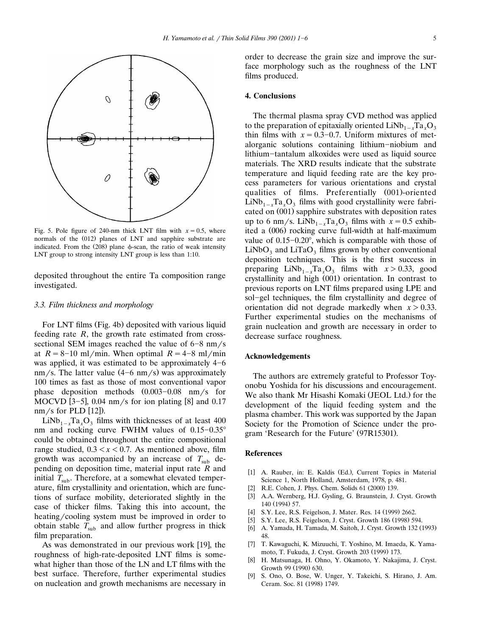

Fig. 5. Pole figure of 240-nm thick LNT film with  $x = 0.5$ , where normals of the (012) planes of LNT and sapphire substrate are indicated. From the  $(208)$  plane  $\phi$ -scan, the ratio of weak intensity LNT group to strong intensity LNT group is less than 1:10.

deposited throughout the entire Ta composition range investigated.

## *3.3. Film thickness and morphology*

For LNT films (Fig. 4b) deposited with various liquid feeding rate *R*, the growth rate estimated from crosssectional SEM images reached the value of  $6-8$  nm/s at  $R = 8-10$  ml/min. When optimal  $R = 4-8$  ml/min was applied, it was estimated to be approximately  $4-6$ nm/s. The latter value  $(4-6 \text{ nm/s})$  was approximately 100 times as fast as those of most conventional vapor phase deposition methods  $(0.003 - 0.08 \text{ nm/s}$  for MOCVD  $[3-5]$ , 0.04 nm/s for ion plating  $[8]$  and 0.17  $nm/s$  for PLD [12]).

 $LiNb_{1-x}Ta_xO_3$  films with thicknesses of at least 400 nm and rocking curve FWHM values of  $0.15-0.35^{\circ}$ could be obtained throughout the entire compositional range studied,  $0.3 < x < 0.7$ . As mentioned above, film growth was accompanied by an increase of  $T_{sub}$  depending on deposition time, material input rate *R* and initial  $T_{\text{sub}}$ . Therefore, at a somewhat elevated temperature, film crystallinity and orientation, which are functions of surface mobility, deteriorated slightly in the case of thicker films. Taking this into account, the heating/cooling system must be improved in order to obtain stable  $T_{sub}$  and allow further progress in thick film preparation.

As was demonstrated in our previous work [19], the roughness of high-rate-deposited LNT films is somewhat higher than those of the LN and LT films with the best surface. Therefore, further experimental studies on nucleation and growth mechanisms are necessary in order to decrease the grain size and improve the surface morphology such as the roughness of the LNT films produced.

## **4. Conclusions**

The thermal plasma spray CVD method was applied to the preparation of epitaxially oriented  $\text{LiNb}_{1-x}\text{Ta}_x\text{O}_3$ thin films with  $x = 0.3-0.7$ . Uniform mixtures of metalorganic solutions containing lithium-niobium and lithium-tantalum alkoxides were used as liquid source materials. The XRD results indicate that the substrate temperature and liquid feeding rate are the key process parameters for various orientations and crystal qualities of films. Preferentially (001)-oriented  $LiNb_{1-x}Ta_xO_3$  films with good crystallinity were fabricated on (001) sapphire substrates with deposition rates up to 6 nm/s. LiNb<sub>1-x</sub>Ta<sub>x</sub>O<sub>3</sub> films with  $x = 0.5$  exhibited a  $(006)$  rocking curve full-width at half-maximum value of  $0.15-0.20^{\circ}$ , which is comparable with those of  $LiNbO<sub>3</sub>$  and  $LiTaO<sub>3</sub>$  films grown by other conventional deposition techniques. This is the first success in preparing  $\text{LiNb}_{1-x}\text{Ta}_x\text{O}_3$  films with  $x > 0.33$ , good crystallinity and high (001) orientation. In contrast to previous reports on LNT films prepared using LPE and sol-gel techniques, the film crystallinity and degree of orientation did not degrade markedly when  $x > 0.33$ . Further experimental studies on the mechanisms of grain nucleation and growth are necessary in order to decrease surface roughness.

## **Acknowledgements**

The authors are extremely grateful to Professor Toyonobu Yoshida for his discussions and encouragement. We also thank Mr Hisashi Komaki (JEOL Ltd.) for the development of the liquid feeding system and the plasma chamber. This work was supported by the Japan Society for the Promotion of Science under the program 'Research for the Future' (97R15301).

#### **References**

- [1] A. Rauber, in: E. Kaldis (Ed.), Current Topics in Material Science 1, North Holland, Amsterdam, 1978, p. 481.
- [2] R.E. Cohen, J. Phys. Chem. Solids 61 (2000) 139.
- [3] A.A. Wernberg, H.J. Gysling, G. Braunstein, J. Cryst. Growth 140 (1994) 57.
- [4] S.Y. Lee, R.S. Feigelson, J. Mater. Res. 14 (1999) 2662.
- [5] S.Y. Lee, R.S. Feigelson, J. Cryst. Growth 186 (1998) 594.
- [6] A. Yamada, H. Tamada, M. Saitoh, J. Cryst. Growth 132 (1993) 48.
- [7] T. Kawaguchi, K. Mizuuchi, T. Yoshino, M. Imaeda, K. Yamamoto, T. Fukuda, J. Cryst. Growth 203 (1999) 173.
- [8] H. Matsunaga, H. Ohno, Y. Okamoto, Y. Nakajima, J. Cryst. Growth 99 (1990) 630.
- [9] S. Ono, O. Bose, W. Unger, Y. Takeichi, S. Hirano, J. Am. Ceram. Soc. 81 (1998) 1749.